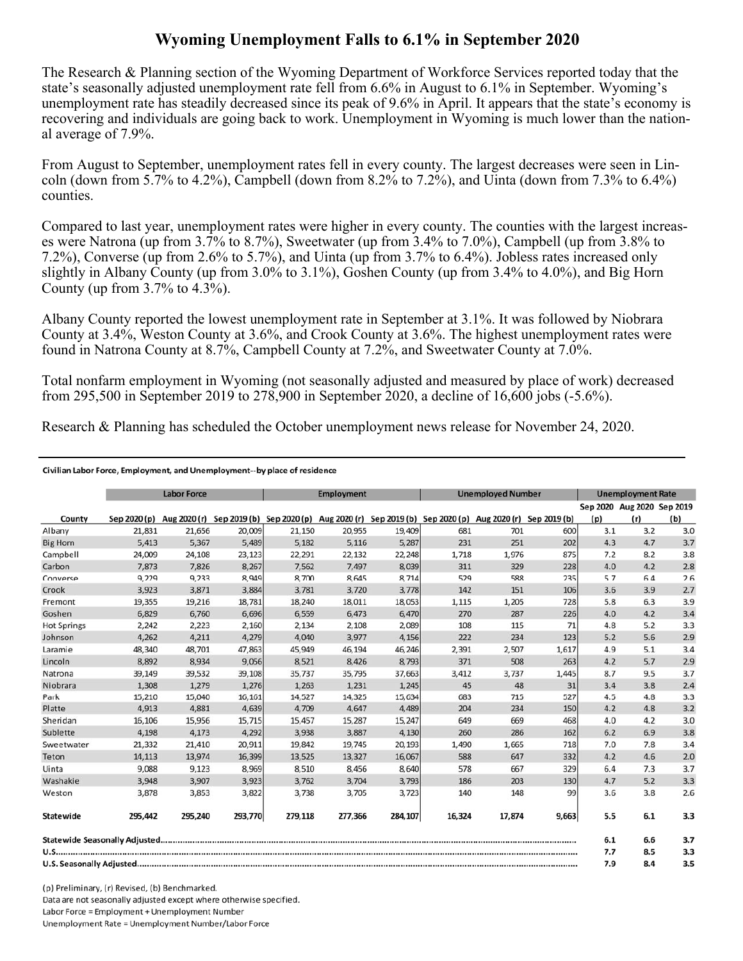## **Wyoming Unemployment Falls to 6.1% in September 2020**

The Research & Planning section of the Wyoming Department of Workforce Services reported today that the state's seasonally adjusted unemployment rate fell from 6.6% in August to 6.1% in September. Wyoming's unemployment rate has steadily decreased since its peak of 9.6% in April. It appears that the state's economy is recovering and individuals are going back to work. Unemployment in Wyoming is much lower than the national average of 7.9%.

From August to September, unemployment rates fell in every county. The largest decreases were seen in Lincoln (down from 5.7% to 4.2%), Campbell (down from 8.2% to 7.2%), and Uinta (down from 7.3% to 6.4%) counties.

Compared to last year, unemployment rates were higher in every county. The counties with the largest increases were Natrona (up from 3.7% to 8.7%), Sweetwater (up from 3.4% to 7.0%), Campbell (up from 3.8% to 7.2%), Converse (up from 2.6% to 5.7%), and Uinta (up from 3.7% to 6.4%). Jobless rates increased only slightly in Albany County (up from 3.0% to 3.1%), Goshen County (up from 3.4% to 4.0%), and Big Horn County (up from  $3.7\%$  to  $4.3\%$ ).

Albany County reported the lowest unemployment rate in September at 3.1%. It was followed by Niobrara County at 3.4%, Weston County at 3.6%, and Crook County at 3.6%. The highest unemployment rates were found in Natrona County at 8.7%, Campbell County at 7.2%, and Sweetwater County at 7.0%.

Total nonfarm employment in Wyoming (not seasonally adjusted and measured by place of work) decreased from 295,500 in September 2019 to 278,900 in September 2020, a decline of 16,600 jobs (-5.6%).

Research & Planning has scheduled the October unemployment news release for November 24, 2020.

## Civilian Labor Force, Employment, and Unemployment--by place of residence

|                    |              | <b>Labor Force</b> |         | <b>Employment</b>                                                                          |         |         | <b>Unemployed Number</b> |        |              | <b>Unemployment Rate</b> |                            |     |
|--------------------|--------------|--------------------|---------|--------------------------------------------------------------------------------------------|---------|---------|--------------------------|--------|--------------|--------------------------|----------------------------|-----|
|                    |              |                    |         |                                                                                            |         |         |                          |        |              |                          | Sep 2020 Aug 2020 Sep 2019 |     |
| County             | Sep 2020 (p) |                    |         | Aug 2020 (r) Sep 2019 (b) Sep 2020 (p) Aug 2020 (r) Sep 2019 (b) Sep 2020 (p) Aug 2020 (r) |         |         |                          |        | Sep 2019 (b) | (p)                      | (r)                        | (b) |
| Albany             | 21,831       | 21,656             | 20,009  | 21,150                                                                                     | 20,955  | 19,409  | 681                      | 701    | 600          | 3.1                      | 3.2                        | 3.0 |
| <b>Big Horn</b>    | 5,413        | 5,367              | 5,489   | 5,182                                                                                      | 5,116   | 5,287   | 231                      | 251    | 202          | 4.3                      | 4.7                        | 3.7 |
| Campbell           | 24,009       | 24,108             | 23,123  | 22,291                                                                                     | 22,132  | 22,248  | 1,718                    | 1,976  | 875          | 7.2                      | 8.2                        | 3.8 |
| Carbon             | 7,873        | 7,826              | 8,267   | 7.562                                                                                      | 7,497   | 8,039   | 311                      | 329    | 228          | 4.0                      | 4.2                        | 2.8 |
| Converse           | 9,229        | 9,233              | 8,949   | 8,700                                                                                      | 8,645   | 8,714   | 529                      | 588    | 235          | 5.7                      | 6.4                        | 2.6 |
| Crook              | 3,923        | 3,871              | 3,884   | 3,781                                                                                      | 3,720   | 3,778   | 142                      | 151    | 106          | 3.6                      | 3.9                        | 2.7 |
| Fremont            | 19,355       | 19,216             | 18,781  | 18,240                                                                                     | 18,011  | 18,053  | 1,115                    | 1,205  | 728          | 5.8                      | 6.3                        | 3.9 |
| Goshen             | 6,829        | 6,760              | 6,696   | 6,559                                                                                      | 6,473   | 6,470   | 270                      | 287    | 226          | 4.0                      | 4.2                        | 3.4 |
| <b>Hot Springs</b> | 2,242        | 2,223              | 2,160   | 2,134                                                                                      | 2,108   | 2,089   | 108                      | 115    | 71           | 4.8                      | 5.2                        | 3.3 |
| Johnson            | 4,262        | 4,211              | 4,279   | 4,040                                                                                      | 3,977   | 4,156   | 222                      | 234    | 123          | 5.2                      | 5.6                        | 2.9 |
| Laramie            | 48,340       | 48,701             | 47,863  | 45,949                                                                                     | 46,194  | 46,246  | 2,391                    | 2,507  | 1,617        | 4.9                      | 5.1                        | 3.4 |
| Lincoln            | 8,892        | 8,934              | 9,056   | 8,521                                                                                      | 8,426   | 8,793   | 371                      | 508    | 263          | 4.2                      | 5.7                        | 2.9 |
| Natrona            | 39,149       | 39,532             | 39,108  | 35,737                                                                                     | 35,795  | 37,663  | 3,412                    | 3,737  | 1,445        | 8.7                      | 9.5                        | 3.7 |
| Niobrara           | 1,308        | 1,279              | 1,276   | 1,263                                                                                      | 1,231   | 1,245   | 45                       | 48     | 31           | 3.4                      | 3.8                        | 2.4 |
| Park               | 15,210       | 15,040             | 16, 161 | 14,527                                                                                     | 14,325  | 15,634  | 683                      | 715    | 527          | 4.5                      | 4.8                        | 3.3 |
| Platte             | 4,913        | 4,881              | 4,639   | 4,709                                                                                      | 4,647   | 4,489   | 204                      | 234    | 150          | 4.2                      | 4.8                        | 3.2 |
| Sheridan           | 16,106       | 15,956             | 15,715  | 15,457                                                                                     | 15,287  | 15,247  | 649                      | 669    | 468          | 4.0                      | 4.2                        | 3.0 |
| Sublette           | 4,198        | 4,173              | 4,292   | 3,938                                                                                      | 3,887   | 4,130   | 260                      | 286    | 162          | 6.2                      | 6.9                        | 3.8 |
| Sweetwater         | 21,332       | 21,410             | 20,911  | 19,842                                                                                     | 19,745  | 20,193  | 1,490                    | 1,665  | 718          | 7.0                      | 7.8                        | 3.4 |
| Teton              | 14,113       | 13.974             | 16,399  | 13,525                                                                                     | 13,327  | 16,067  | 588                      | 647    | 332          | 4.2                      | 4.6                        | 2.0 |
| Uinta              | 9,088        | 9,123              | 8,969   | 8,510                                                                                      | 8,456   | 8,640   | 578                      | 667    | 329          | 6.4                      | 7.3                        | 3.7 |
| Washakie           | 3,948        | 3,907              | 3,923   | 3,762                                                                                      | 3,704   | 3,793   | 186                      | 203    | 130          | 4.7                      | 5.2                        | 3.3 |
| Weston             | 3,878        | 3,853              | 3,822   | 3,738                                                                                      | 3,705   | 3,723   | 140                      | 148    | 99           | 3.6                      | 3.8                        | 2.6 |
| Statewide          | 295,442      | 295,240            | 293,770 | 279,118                                                                                    | 277,366 | 284,107 | 16,324                   | 17,874 | 9,663        | 5.5                      | 6.1                        | 3.3 |
|                    |              |                    |         |                                                                                            |         |         |                          | 6.1    | 6.6          | 3.7                      |                            |     |
|                    |              |                    |         |                                                                                            |         |         |                          | 7.7    | 8.5          | 3.3                      |                            |     |
|                    |              |                    |         |                                                                                            |         |         |                          | 7.9    | 8.4          | 3.5                      |                            |     |

(p) Preliminary, (r) Revised, (b) Benchmarked. Data are not seasonally adjusted except where otherwise specified. Labor Force = Employment + Unemployment Number Unemployment Rate = Unemployment Number/Labor Force